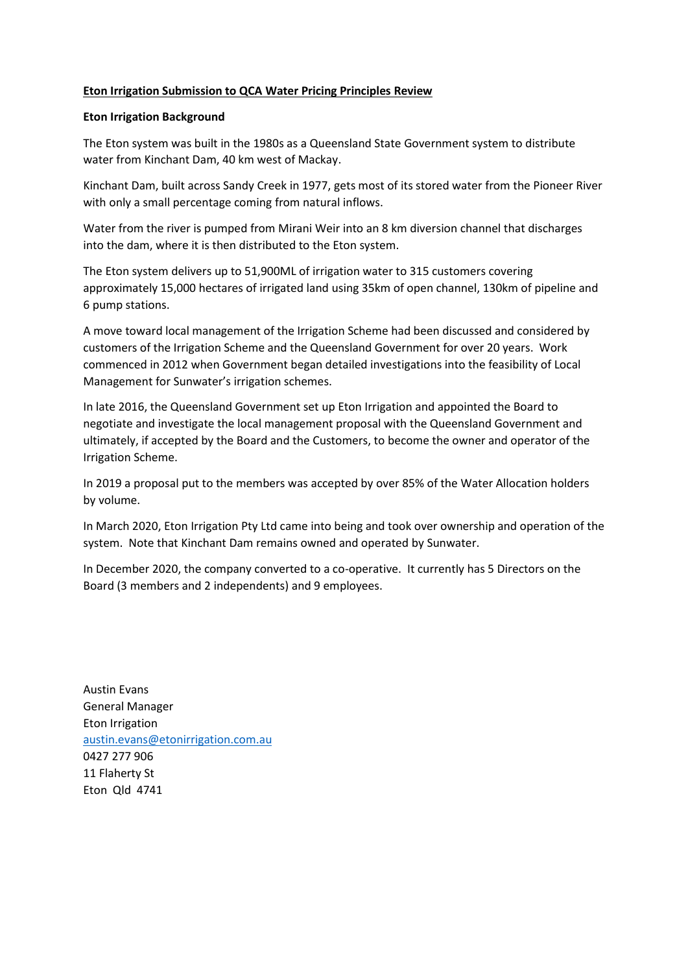## **Eton Irrigation Submission to QCA Water Pricing Principles Review**

### **Eton Irrigation Background**

The Eton system was built in the 1980s as a Queensland State Government system to distribute water from Kinchant Dam, 40 km west of Mackay.

Kinchant Dam, built across Sandy Creek in 1977, gets most of its stored water from the Pioneer River with only a small percentage coming from natural inflows.

Water from the river is pumped from Mirani Weir into an 8 km diversion channel that discharges into the dam, where it is then distributed to the Eton system.

The Eton system delivers up to 51,900ML of irrigation water to 315 customers covering approximately 15,000 hectares of irrigated land using 35km of open channel, 130km of pipeline and 6 pump stations.

A move toward local management of the Irrigation Scheme had been discussed and considered by customers of the Irrigation Scheme and the Queensland Government for over 20 years. Work commenced in 2012 when Government began detailed investigations into the feasibility of Local Management for Sunwater's irrigation schemes.

In late 2016, the Queensland Government set up Eton Irrigation and appointed the Board to negotiate and investigate the local management proposal with the Queensland Government and ultimately, if accepted by the Board and the Customers, to become the owner and operator of the Irrigation Scheme.

In 2019 a proposal put to the members was accepted by over 85% of the Water Allocation holders by volume.

In March 2020, Eton Irrigation Pty Ltd came into being and took over ownership and operation of the system. Note that Kinchant Dam remains owned and operated by Sunwater.

In December 2020, the company converted to a co-operative. It currently has 5 Directors on the Board (3 members and 2 independents) and 9 employees.

Austin Evans General Manager Eton Irrigation [austin.evans@etonirrigation.com.au](mailto:austin.evans@etonirrigation.com.au) 0427 277 906 11 Flaherty St Eton Qld 4741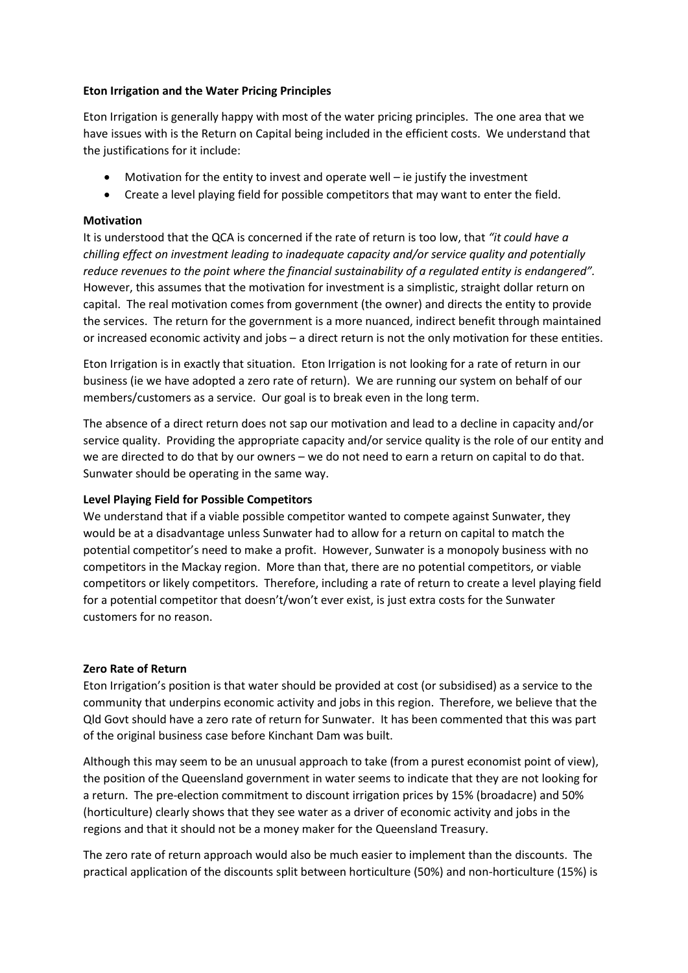## **Eton Irrigation and the Water Pricing Principles**

Eton Irrigation is generally happy with most of the water pricing principles. The one area that we have issues with is the Return on Capital being included in the efficient costs. We understand that the justifications for it include:

- Motivation for the entity to invest and operate well ie justify the investment
- Create a level playing field for possible competitors that may want to enter the field.

# **Motivation**

It is understood that the QCA is concerned if the rate of return is too low, that *"it could have a chilling effect on investment leading to inadequate capacity and/or service quality and potentially reduce revenues to the point where the financial sustainability of a regulated entity is endangered".*  However, this assumes that the motivation for investment is a simplistic, straight dollar return on capital. The real motivation comes from government (the owner) and directs the entity to provide the services. The return for the government is a more nuanced, indirect benefit through maintained or increased economic activity and jobs – a direct return is not the only motivation for these entities.

Eton Irrigation is in exactly that situation. Eton Irrigation is not looking for a rate of return in our business (ie we have adopted a zero rate of return). We are running our system on behalf of our members/customers as a service. Our goal is to break even in the long term.

The absence of a direct return does not sap our motivation and lead to a decline in capacity and/or service quality. Providing the appropriate capacity and/or service quality is the role of our entity and we are directed to do that by our owners – we do not need to earn a return on capital to do that. Sunwater should be operating in the same way.

# **Level Playing Field for Possible Competitors**

We understand that if a viable possible competitor wanted to compete against Sunwater, they would be at a disadvantage unless Sunwater had to allow for a return on capital to match the potential competitor's need to make a profit. However, Sunwater is a monopoly business with no competitors in the Mackay region. More than that, there are no potential competitors, or viable competitors or likely competitors. Therefore, including a rate of return to create a level playing field for a potential competitor that doesn't/won't ever exist, is just extra costs for the Sunwater customers for no reason.

#### **Zero Rate of Return**

Eton Irrigation's position is that water should be provided at cost (or subsidised) as a service to the community that underpins economic activity and jobs in this region. Therefore, we believe that the Qld Govt should have a zero rate of return for Sunwater. It has been commented that this was part of the original business case before Kinchant Dam was built.

Although this may seem to be an unusual approach to take (from a purest economist point of view), the position of the Queensland government in water seems to indicate that they are not looking for a return. The pre-election commitment to discount irrigation prices by 15% (broadacre) and 50% (horticulture) clearly shows that they see water as a driver of economic activity and jobs in the regions and that it should not be a money maker for the Queensland Treasury.

The zero rate of return approach would also be much easier to implement than the discounts. The practical application of the discounts split between horticulture (50%) and non-horticulture (15%) is